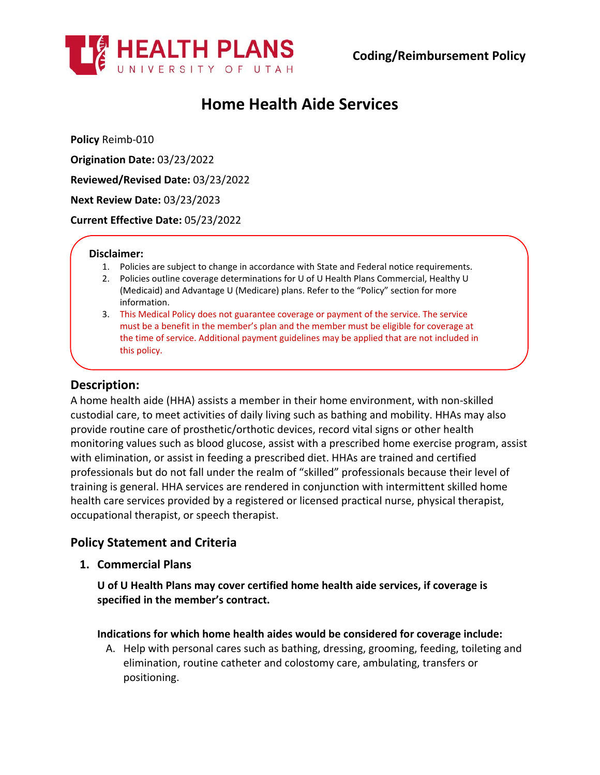

# **Home Health Aide Services**

**Policy** Reimb-010

**Origination Date:** 03/23/2022

**Reviewed/Revised Date:** 03/23/2022

**Next Review Date:** 03/23/2023

**Current Effective Date:** 05/23/2022

### **Disclaimer:**

- 1. Policies are subject to change in accordance with State and Federal notice requirements.
- 2. Policies outline coverage determinations for U of U Health Plans Commercial, Healthy U (Medicaid) and Advantage U (Medicare) plans. Refer to the "Policy" section for more information.
- 3. This Medical Policy does not guarantee coverage or payment of the service. The service must be a benefit in the member's plan and the member must be eligible for coverage at the time of service. Additional payment guidelines may be applied that are not included in this policy.

# **Description:**

A home health aide (HHA) assists a member in their home environment, with non-skilled custodial care, to meet activities of daily living such as bathing and mobility. HHAs may also provide routine care of prosthetic/orthotic devices, record vital signs or other health monitoring values such as blood glucose, assist with a prescribed home exercise program, assist with elimination, or assist in feeding a prescribed diet. HHAs are trained and certified professionals but do not fall under the realm of "skilled" professionals because their level of training is general. HHA services are rendered in conjunction with intermittent skilled home health care services provided by a registered or licensed practical nurse, physical therapist, occupational therapist, or speech therapist.

# **Policy Statement and Criteria**

**1. Commercial Plans**

**U of U Health Plans may cover certified home health aide services, if coverage is specified in the member's contract.**

## **Indications for which home health aides would be considered for coverage include:**

A. Help with personal cares such as bathing, dressing, grooming, feeding, toileting and elimination, routine catheter and colostomy care, ambulating, transfers or positioning.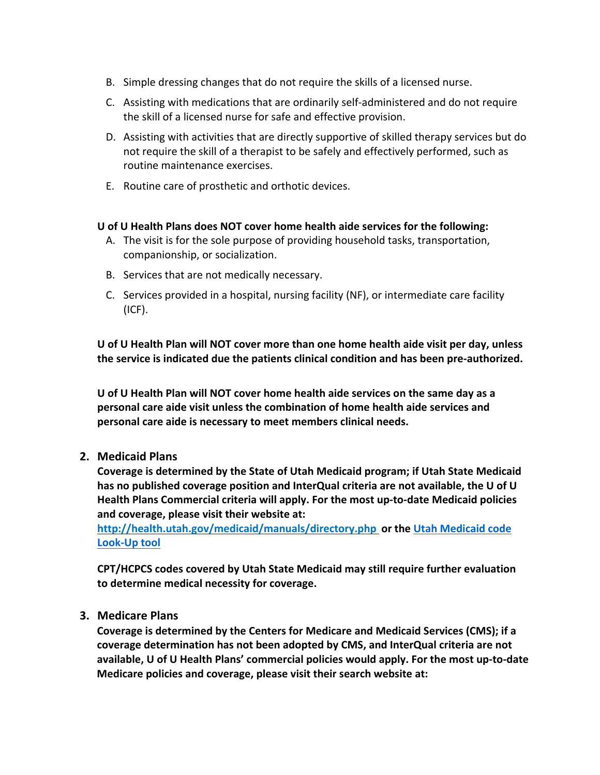- B. Simple dressing changes that do not require the skills of a licensed nurse.
- C. Assisting with medications that are ordinarily self-administered and do not require the skill of a licensed nurse for safe and effective provision.
- D. Assisting with activities that are directly supportive of skilled therapy services but do not require the skill of a therapist to be safely and effectively performed, such as routine maintenance exercises.
- E. Routine care of prosthetic and orthotic devices.

## **U of U Health Plans does NOT cover home health aide services for the following:**

- A. The visit is for the sole purpose of providing household tasks, transportation, companionship, or socialization.
- B. Services that are not medically necessary.
- C. Services provided in a hospital, nursing facility (NF), or intermediate care facility (ICF).

**U of U Health Plan will NOT cover more than one home health aide visit per day, unless the service is indicated due the patients clinical condition and has been pre-authorized.**

**U of U Health Plan will NOT cover home health aide services on the same day as a personal care aide visit unless the combination of home health aide services and personal care aide is necessary to meet members clinical needs.**

## **2. Medicaid Plans**

**Coverage is determined by the State of Utah Medicaid program; if Utah State Medicaid has no published coverage position and InterQual criteria are not available, the U of U Health Plans Commercial criteria will apply. For the most up-to-date Medicaid policies and coverage, please visit their website at:**

**<http://health.utah.gov/medicaid/manuals/directory.php> or the [Utah Medicaid code](https://health.utah.gov/stplan/lookup/CoverageLookup.php)  [Look-Up tool](https://health.utah.gov/stplan/lookup/CoverageLookup.php)**

**CPT/HCPCS codes covered by Utah State Medicaid may still require further evaluation to determine medical necessity for coverage.**

## **3. Medicare Plans**

**Coverage is determined by the Centers for Medicare and Medicaid Services (CMS); if a coverage determination has not been adopted by CMS, and InterQual criteria are not available, U of U Health Plans' commercial policies would apply. For the most up-to-date Medicare policies and coverage, please visit their search website at:**